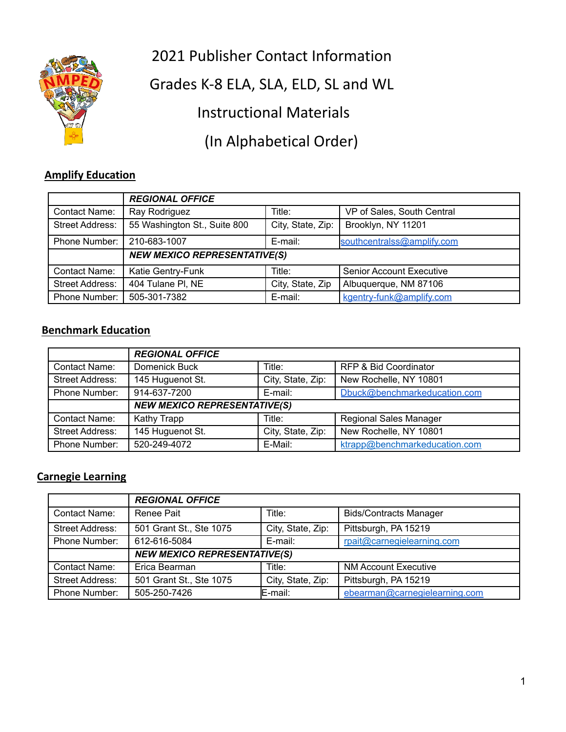2021 Publisher Contact Information



Grades K-8 ELA, SLA, ELD, SL and WL

Instructional Materials

(In Alphabetical Order)

# **Amplify Education**

|                        | <b>REGIONAL OFFICE</b>              |                   |                                 |
|------------------------|-------------------------------------|-------------------|---------------------------------|
| <b>Contact Name:</b>   | Ray Rodriguez                       | Title:            | VP of Sales, South Central      |
| <b>Street Address:</b> | 55 Washington St., Suite 800        | City, State, Zip: | Brooklyn, NY 11201              |
| Phone Number:          | 210-683-1007                        | E-mail:           | southcentralss@amplify.com      |
|                        | <b>NEW MEXICO REPRESENTATIVE(S)</b> |                   |                                 |
| <b>Contact Name:</b>   | Katie Gentry-Funk                   | Title:            | <b>Senior Account Executive</b> |
| <b>Street Address:</b> | 404 Tulane PI, NE                   | City, State, Zip  | Albuquerque, NM 87106           |
| Phone Number:          | 505-301-7382                        | E-mail:           | kgentry-funk@amplify.com        |

#### **Benchmark Education**

|                        | <b>REGIONAL OFFICE</b>              |                   |                                  |
|------------------------|-------------------------------------|-------------------|----------------------------------|
| <b>Contact Name:</b>   | Domenick Buck                       | Title:            | <b>RFP &amp; Bid Coordinator</b> |
| Street Address:        | 145 Huguenot St.                    | City, State, Zip: | New Rochelle, NY 10801           |
| Phone Number:          | 914-637-7200                        | E-mail:           | Dbuck@benchmarkeducation.com     |
|                        | <b>NEW MEXICO REPRESENTATIVE(S)</b> |                   |                                  |
| <b>Contact Name:</b>   | Kathy Trapp                         | Title:            | <b>Regional Sales Manager</b>    |
| <b>Street Address:</b> | 145 Huguenot St.                    | City, State, Zip: | New Rochelle, NY 10801           |
| Phone Number:          | 520-249-4072                        | E-Mail:           | ktrapp@benchmarkeducation.com    |

### **Carnegie Learning**

|                        | <b>REGIONAL OFFICE</b>              |                   |                               |
|------------------------|-------------------------------------|-------------------|-------------------------------|
| Contact Name:          | Renee Pait                          | Title:            | <b>Bids/Contracts Manager</b> |
| Street Address:        | 501 Grant St., Ste 1075             | City, State, Zip: | Pittsburgh, PA 15219          |
| Phone Number:          | 612-616-5084                        | E-mail:           | rpait@carnegielearning.com    |
|                        | <b>NEW MEXICO REPRESENTATIVE(S)</b> |                   |                               |
| <b>Contact Name:</b>   | Erica Bearman                       | Title:            | <b>NM Account Executive</b>   |
| <b>Street Address:</b> | 501 Grant St., Ste 1075             | City, State, Zip: | Pittsburgh, PA 15219          |
| Phone Number:          | 505-250-7426                        | $E$ -mail:        | ebearman@carnegielearning.com |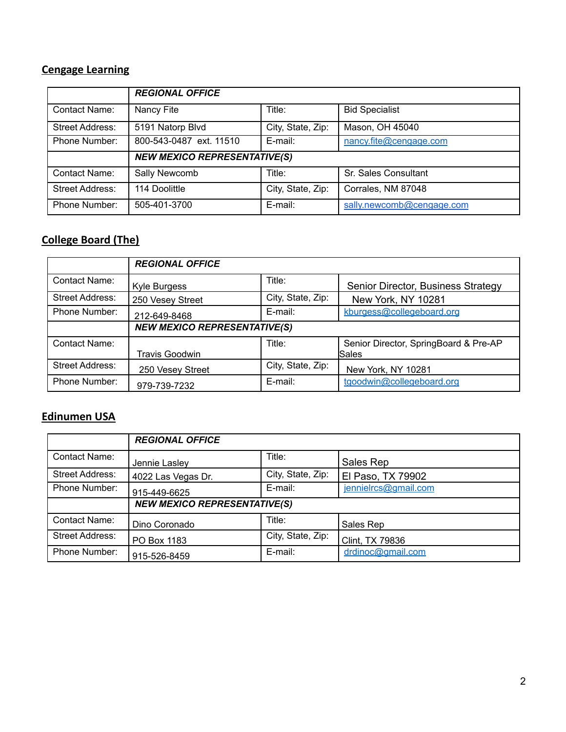# **Cengage Learning**

|                        | <b>REGIONAL OFFICE</b>              |                   |                           |
|------------------------|-------------------------------------|-------------------|---------------------------|
| <b>Contact Name:</b>   | Nancy Fite                          | Title:            | <b>Bid Specialist</b>     |
| <b>Street Address:</b> | 5191 Natorp Blvd                    | City, State, Zip: | Mason, OH 45040           |
| Phone Number:          | 800-543-0487 ext. 11510             | E-mail:           | nancy.fite@cengage.com    |
|                        | <b>NEW MEXICO REPRESENTATIVE(S)</b> |                   |                           |
| Contact Name:          | Sally Newcomb                       | Title:            | Sr. Sales Consultant      |
| <b>Street Address:</b> | 114 Doolittle                       | City, State, Zip: | Corrales, NM 87048        |
| Phone Number:          | 505-401-3700                        | E-mail:           | sally.newcomb@cengage.com |

# **College Board (The)**

|                        | <b>REGIONAL OFFICE</b>              |                   |                                                |
|------------------------|-------------------------------------|-------------------|------------------------------------------------|
| Contact Name:          | Kyle Burgess                        | Title:            | Senior Director, Business Strategy             |
| <b>Street Address:</b> | 250 Vesey Street                    | City, State, Zip: | New York, NY 10281                             |
| Phone Number:          | 212-649-8468                        | E-mail:           | kburgess@collegeboard.org                      |
|                        | <b>NEW MEXICO REPRESENTATIVE(S)</b> |                   |                                                |
| Contact Name:          | <b>Travis Goodwin</b>               | Title:            | Senior Director, SpringBoard & Pre-AP<br>Sales |
| Street Address:        | 250 Vesey Street                    | City, State, Zip: | New York, NY 10281                             |
| Phone Number:          | 979-739-7232                        | E-mail:           | tgoodwin@collegeboard.org                      |

# **Edinumen USA**

|                        | <b>REGIONAL OFFICE</b>              |                   |                      |
|------------------------|-------------------------------------|-------------------|----------------------|
| Contact Name:          | Jennie Lasley                       | Title:            | Sales Rep            |
| <b>Street Address:</b> | 4022 Las Vegas Dr.                  | City, State, Zip: | El Paso, TX 79902    |
| Phone Number:          | 915-449-6625                        | E-mail:           | jennielrcs@gmail.com |
|                        | <b>NEW MEXICO REPRESENTATIVE(S)</b> |                   |                      |
| <b>Contact Name:</b>   | Dino Coronado                       | Title:            | Sales Rep            |
| Street Address:        | PO Box 1183                         | City, State, Zip: | Clint, TX 79836      |
| Phone Number:          | 915-526-8459                        | E-mail:           | drdinoc@gmail.com    |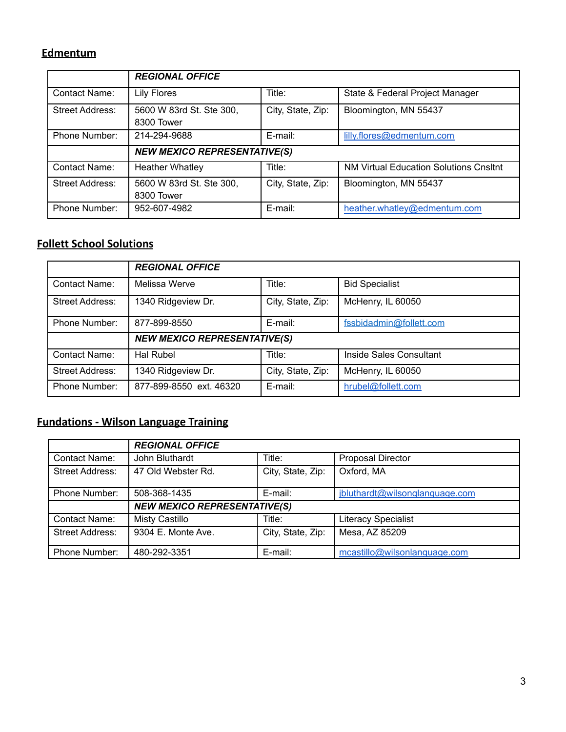### **Edmentum**

|                        | <b>REGIONAL OFFICE</b>                 |                   |                                        |
|------------------------|----------------------------------------|-------------------|----------------------------------------|
| <b>Contact Name:</b>   | Lily Flores                            | Title:            | State & Federal Project Manager        |
| <b>Street Address:</b> | 5600 W 83rd St. Ste 300,<br>8300 Tower | City, State, Zip: | Bloomington, MN 55437                  |
| Phone Number:          | 214-294-9688                           | E-mail:           | lilly.flores@edmentum.com              |
|                        | <b>NEW MEXICO REPRESENTATIVE(S)</b>    |                   |                                        |
| <b>Contact Name:</b>   | <b>Heather Whatley</b>                 | Title:            | NM Virtual Education Solutions Cnsltnt |
| <b>Street Address:</b> | 5600 W 83rd St. Ste 300,<br>8300 Tower | City, State, Zip: | Bloomington, MN 55437                  |
| Phone Number:          | 952-607-4982                           | E-mail:           | heather.whatley@edmentum.com           |

#### **Follett School Solutions**

|                 | <b>REGIONAL OFFICE</b>              |                   |                         |
|-----------------|-------------------------------------|-------------------|-------------------------|
| Contact Name:   | Melissa Werve                       | Title:            | <b>Bid Specialist</b>   |
| Street Address: | 1340 Ridgeview Dr.                  | City, State, Zip: | McHenry, IL 60050       |
| Phone Number:   | 877-899-8550                        | E-mail:           | fssbidadmin@follett.com |
|                 | <b>NEW MEXICO REPRESENTATIVE(S)</b> |                   |                         |
| Contact Name:   | Hal Rubel                           | Title:            | Inside Sales Consultant |
| Street Address: | 1340 Ridgeview Dr.                  | City, State, Zip: | McHenry, IL 60050       |
| Phone Number:   | 877-899-8550 ext. 46320             | E-mail:           | hrubel@follett.com      |

# **Fundations - Wilson Language Training**

|                        | <b>REGIONAL OFFICE</b>              |                   |                                |
|------------------------|-------------------------------------|-------------------|--------------------------------|
| <b>Contact Name:</b>   | John Bluthardt                      | Title:            | <b>Proposal Director</b>       |
| <b>Street Address:</b> | 47 Old Webster Rd.                  | City, State, Zip: | Oxford, MA                     |
| Phone Number:          | 508-368-1435                        | E-mail:           | jbluthardt@wilsonglanguage.com |
|                        | <b>NEW MEXICO REPRESENTATIVE(S)</b> |                   |                                |
| Contact Name:          | <b>Misty Castillo</b>               | Title:            | <b>Literacy Specialist</b>     |
| Street Address:        | 9304 E. Monte Ave.                  | City, State, Zip: | Mesa, AZ 85209                 |
| Phone Number:          | 480-292-3351                        | E-mail:           | mcastillo@wilsonlanguage.com   |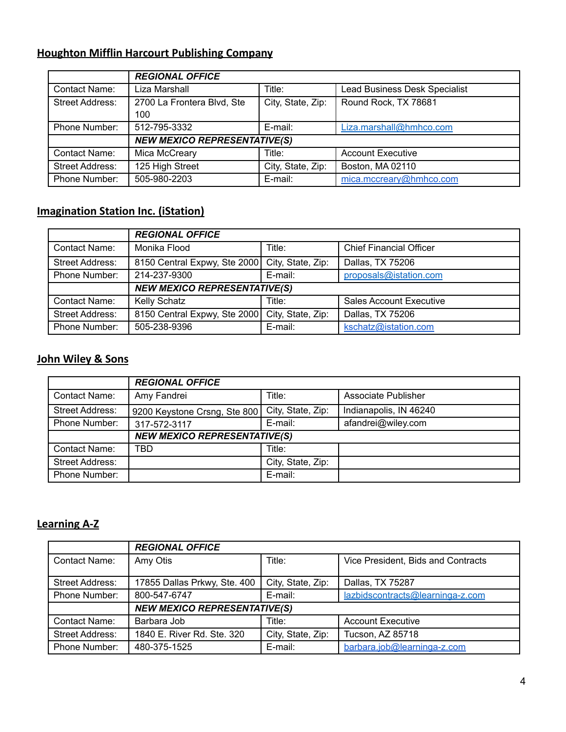# **Houghton Mifflin Harcourt Publishing Company**

|                        | <b>REGIONAL OFFICE</b>              |                   |                               |
|------------------------|-------------------------------------|-------------------|-------------------------------|
| <b>Contact Name:</b>   | Liza Marshall                       | Title:            | Lead Business Desk Specialist |
| <b>Street Address:</b> | 2700 La Frontera Blvd, Ste<br>100   | City, State, Zip: | Round Rock, TX 78681          |
| Phone Number:          | 512-795-3332                        | E-mail:           | Liza.marshall@hmhco.com       |
|                        |                                     |                   |                               |
|                        | <b>NEW MEXICO REPRESENTATIVE(S)</b> |                   |                               |
| <b>Contact Name:</b>   | Mica McCreary                       | Title:            | <b>Account Executive</b>      |
| <b>Street Address:</b> | 125 High Street                     | City, State, Zip: | Boston, MA 02110              |
| Phone Number:          | 505-980-2203                        | E-mail:           | mica.mccreary@hmhco.com       |

# **Imagination Station Inc. (iStation)**

|                        | <b>REGIONAL OFFICE</b>              |                   |                                |
|------------------------|-------------------------------------|-------------------|--------------------------------|
| Contact Name:          | Monika Flood                        | Title:            | <b>Chief Financial Officer</b> |
| <b>Street Address:</b> | 8150 Central Expwy, Ste 2000        | City, State, Zip: | Dallas, TX 75206               |
| Phone Number:          | 214-237-9300                        | E-mail:           | proposals@istation.com         |
|                        | <b>NEW MEXICO REPRESENTATIVE(S)</b> |                   |                                |
| Contact Name:          | <b>Kelly Schatz</b>                 | Title:            | <b>Sales Account Executive</b> |
| Street Address:        | 8150 Central Expwy, Ste 2000        | City, State, Zip: | Dallas, TX 75206               |
| Phone Number:          | 505-238-9396                        | E-mail:           | kschatz@istation.com           |

#### **John Wiley & Sons**

|                        | <b>REGIONAL OFFICE</b>              |                   |                        |
|------------------------|-------------------------------------|-------------------|------------------------|
| Contact Name:          | Amy Fandrei                         | Title:            | Associate Publisher    |
| <b>Street Address:</b> | 9200 Keystone Crsng, Ste 800        | City, State, Zip: | Indianapolis, IN 46240 |
| Phone Number:          | 317-572-3117                        | E-mail:           | afandrei@wiley.com     |
|                        | <b>NEW MEXICO REPRESENTATIVE(S)</b> |                   |                        |
| Contact Name:          | TBD                                 | Title:            |                        |
| Street Address:        |                                     | City, State, Zip: |                        |
| Phone Number:          |                                     | E-mail:           |                        |

#### **Learning A-Z**

|                        | <b>REGIONAL OFFICE</b>              |                   |                                    |  |
|------------------------|-------------------------------------|-------------------|------------------------------------|--|
| <b>Contact Name:</b>   | Amy Otis                            | Title:            | Vice President, Bids and Contracts |  |
| Street Address:        | 17855 Dallas Prkwy, Ste. 400        | City, State, Zip: | Dallas, TX 75287                   |  |
| Phone Number:          | 800-547-6747                        | E-mail:           | lazbidscontracts@learninga-z.com   |  |
|                        | <b>NEW MEXICO REPRESENTATIVE(S)</b> |                   |                                    |  |
| <b>Contact Name:</b>   | Barbara Job                         | Title:            | <b>Account Executive</b>           |  |
| <b>Street Address:</b> | 1840 E. River Rd. Ste. 320          | City, State, Zip: | Tucson, AZ 85718                   |  |
| Phone Number:          | 480-375-1525                        | E-mail:           | barbara.job@learninga-z.com        |  |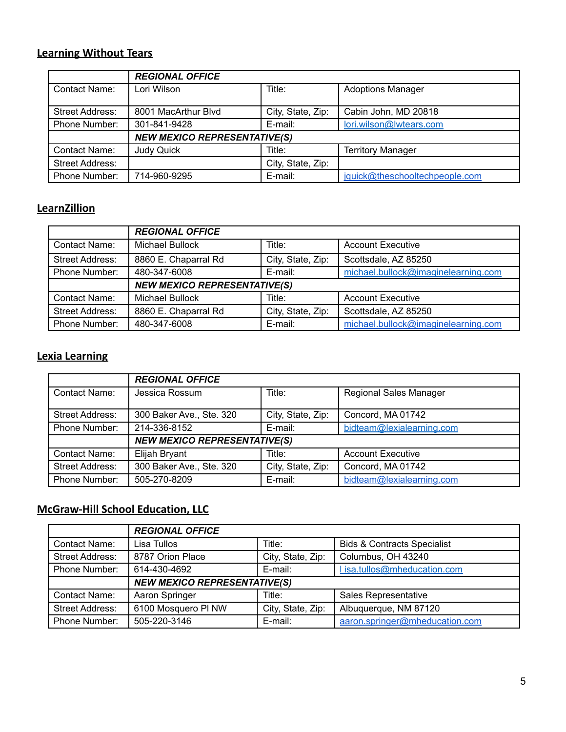# **Learning Without Tears**

|                        | <b>REGIONAL OFFICE</b>              |                   |                                |  |
|------------------------|-------------------------------------|-------------------|--------------------------------|--|
| <b>Contact Name:</b>   | Lori Wilson                         | Title:            | <b>Adoptions Manager</b>       |  |
| Street Address:        | 8001 MacArthur Blyd                 | City, State, Zip: | Cabin John, MD 20818           |  |
| Phone Number:          | 301-841-9428                        | E-mail:           | lori.wilson@lwtears.com        |  |
|                        | <b>NEW MEXICO REPRESENTATIVE(S)</b> |                   |                                |  |
| <b>Contact Name:</b>   | <b>Judy Quick</b>                   | Title:            | <b>Territory Manager</b>       |  |
| <b>Street Address:</b> |                                     | City, State, Zip: |                                |  |
| Phone Number:          | 714-960-9295                        | E-mail:           | jquick@theschooltechpeople.com |  |

#### **LearnZillion**

|                        | <b>REGIONAL OFFICE</b>              |                   |                                     |
|------------------------|-------------------------------------|-------------------|-------------------------------------|
| <b>Contact Name:</b>   | <b>Michael Bullock</b>              | Title:            | <b>Account Executive</b>            |
| <b>Street Address:</b> | 8860 E. Chaparral Rd                | City, State, Zip: | Scottsdale, AZ 85250                |
| Phone Number:          | 480-347-6008                        | E-mail:           | michael.bullock@imaginelearning.com |
|                        | <b>NEW MEXICO REPRESENTATIVE(S)</b> |                   |                                     |
| <b>Contact Name:</b>   | <b>Michael Bullock</b>              | Title:            | <b>Account Executive</b>            |
| <b>Street Address:</b> | 8860 E. Chaparral Rd                | City, State, Zip: | Scottsdale, AZ 85250                |
| Phone Number:          | 480-347-6008                        | E-mail:           | michael.bullock@imaginelearning.com |

#### **Lexia Learning**

|                        | <b>REGIONAL OFFICE</b>              |                   |                               |
|------------------------|-------------------------------------|-------------------|-------------------------------|
| <b>Contact Name:</b>   | Jessica Rossum                      | Title:            | <b>Regional Sales Manager</b> |
| Street Address:        | 300 Baker Ave., Ste. 320            | City, State, Zip: | Concord, MA 01742             |
| Phone Number:          | 214-336-8152                        | E-mail:           | bidteam@lexialearning.com     |
|                        | <b>NEW MEXICO REPRESENTATIVE(S)</b> |                   |                               |
| Contact Name:          | Elijah Bryant                       | Title:            | <b>Account Executive</b>      |
| <b>Street Address:</b> | 300 Baker Ave., Ste. 320            | City, State, Zip: | Concord, MA 01742             |
| Phone Number:          | 505-270-8209                        | E-mail:           | bidteam@lexialearning.com     |

# **McGraw-Hill School Education, LLC**

|                        | <b>REGIONAL OFFICE</b>              |                   |                                        |
|------------------------|-------------------------------------|-------------------|----------------------------------------|
| Contact Name:          | Lisa Tullos                         | Title:            | <b>Bids &amp; Contracts Specialist</b> |
| <b>Street Address:</b> | 8787 Orion Place                    | City, State, Zip: | Columbus, OH 43240                     |
| Phone Number:          | 614-430-4692                        | E-mail:           | Lisa.tullos@mheducation.com            |
|                        | <b>NEW MEXICO REPRESENTATIVE(S)</b> |                   |                                        |
| <b>Contact Name:</b>   | Aaron Springer                      | Title:            | Sales Representative                   |
| <b>Street Address:</b> | 6100 Mosquero PI NW                 | City, State, Zip: | Albuquerque, NM 87120                  |
| Phone Number:          | 505-220-3146                        | E-mail:           | aaron.springer@mheducation.com         |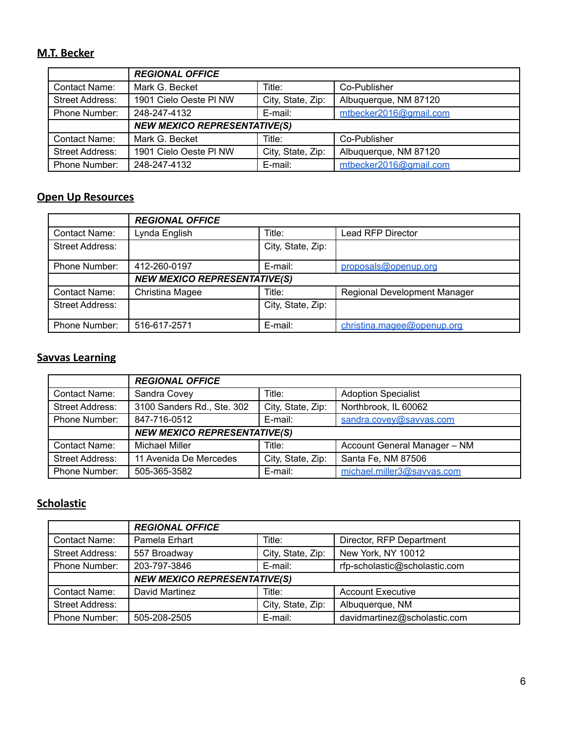### **M.T. Becker**

|                        | <b>REGIONAL OFFICE</b>              |                   |                        |
|------------------------|-------------------------------------|-------------------|------------------------|
| Contact Name:          | Mark G. Becket                      | Title:            | Co-Publisher           |
| <b>Street Address:</b> | 1901 Cielo Oeste PI NW              | City, State, Zip: | Albuquerque, NM 87120  |
| Phone Number:          | 248-247-4132                        | E-mail:           | mtbecker2016@gmail.com |
|                        | <b>NEW MEXICO REPRESENTATIVE(S)</b> |                   |                        |
| Contact Name:          | Mark G. Becket                      | Title:            | Co-Publisher           |
| <b>Street Address:</b> | 1901 Cielo Oeste PI NW              | City, State, Zip: | Albuquerque, NM 87120  |
| Phone Number:          | 248-247-4132                        | E-mail:           | mtbecker2016@gmail.com |

#### **Open Up Resources**

|                        | <b>REGIONAL OFFICE</b>              |                   |                              |  |
|------------------------|-------------------------------------|-------------------|------------------------------|--|
| Contact Name:          | Lynda English                       | Title:            | Lead RFP Director            |  |
| <b>Street Address:</b> |                                     | City, State, Zip: |                              |  |
| Phone Number:          | 412-260-0197                        | E-mail:           | proposals@openup.org         |  |
|                        | <b>NEW MEXICO REPRESENTATIVE(S)</b> |                   |                              |  |
| Contact Name:          | Christina Magee                     | Title:            | Regional Development Manager |  |
| Street Address:        |                                     | City, State, Zip: |                              |  |
| Phone Number:          | 516-617-2571                        | E-mail:           | christina.magee@openup.org   |  |

# **Savvas Learning**

|                        | <b>REGIONAL OFFICE</b>              |                   |                              |
|------------------------|-------------------------------------|-------------------|------------------------------|
| Contact Name:          | Sandra Covey                        | Title:            | <b>Adoption Specialist</b>   |
| <b>Street Address:</b> | 3100 Sanders Rd., Ste. 302          | City, State, Zip: | Northbrook, IL 60062         |
| Phone Number:          | 847-716-0512                        | E-mail:           | sandra.covev@savvas.com      |
|                        | <b>NEW MEXICO REPRESENTATIVE(S)</b> |                   |                              |
| <b>Contact Name:</b>   | <b>Michael Miller</b>               | Title:            | Account General Manager - NM |
| Street Address:        | 11 Avenida De Mercedes              | City, State, Zip: | Santa Fe, NM 87506           |
| Phone Number:          | 505-365-3582                        | E-mail:           | michael.miller3@savvas.com   |

### **Scholastic**

|                 | <b>REGIONAL OFFICE</b>              |                   |                               |
|-----------------|-------------------------------------|-------------------|-------------------------------|
| Contact Name:   | Pamela Erhart                       | Title:            | Director, RFP Department      |
| Street Address: | 557 Broadway                        | City, State, Zip: | New York, NY 10012            |
| Phone Number:   | 203-797-3846                        | E-mail:           | rfp-scholastic@scholastic.com |
|                 | <b>NEW MEXICO REPRESENTATIVE(S)</b> |                   |                               |
| Contact Name:   | David Martinez                      | Title:            | <b>Account Executive</b>      |
| Street Address: |                                     | City, State, Zip: | Albuquerque, NM               |
| Phone Number:   | 505-208-2505                        | E-mail:           | davidmartinez@scholastic.com  |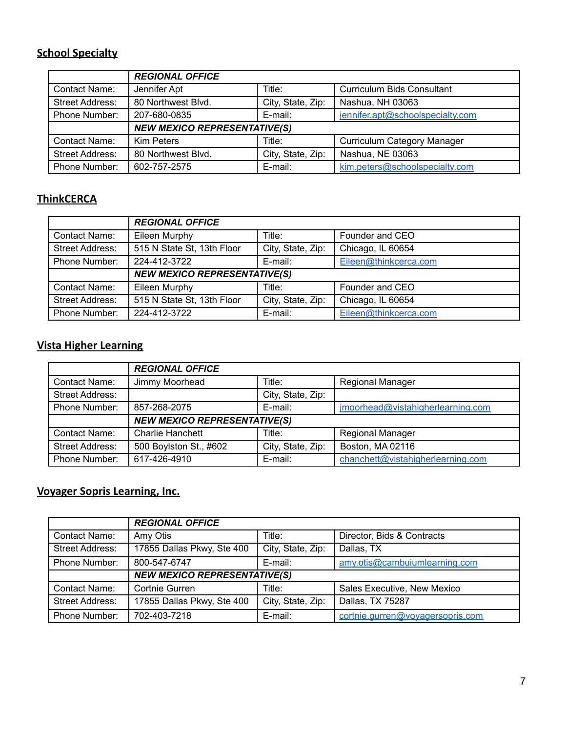# **School Specialty**

|                        | <b>REGIONAL OFFICE</b>              |                   |                                    |
|------------------------|-------------------------------------|-------------------|------------------------------------|
| Contact Name:          | Jennifer Apt                        | Title:            | <b>Curriculum Bids Consultant</b>  |
| <b>Street Address:</b> | 80 Northwest Blvd.                  | City, State, Zip: | Nashua, NH 03063                   |
| Phone Number:          | 207-680-0835                        | E-mail:           | jennifer.apt@schoolspecialty.com   |
|                        | <b>NEW MEXICO REPRESENTATIVE(S)</b> |                   |                                    |
| Contact Name:          | <b>Kim Peters</b>                   | Title:            | <b>Curriculum Category Manager</b> |
| <b>Street Address:</b> | 80 Northwest Blvd.                  | City, State, Zip: | Nashua, NE 03063                   |
| Phone Number:          | 602-757-2575                        | E-mail:           | kim.peters@schoolspecialty.com     |

# **ThinkCERCA**

|                        | <b>REGIONAL OFFICE</b>              |                   |                       |
|------------------------|-------------------------------------|-------------------|-----------------------|
| Contact Name:          | Eileen Murphy                       | Title:            | Founder and CEO       |
| <b>Street Address:</b> | 515 N State St, 13th Floor          | City, State, Zip: | Chicago, IL 60654     |
| Phone Number:          | 224-412-3722                        | E-mail:           | Eileen@thinkcerca.com |
|                        | <b>NEW MEXICO REPRESENTATIVE(S)</b> |                   |                       |
| Contact Name:          | Eileen Murphy                       | Title:            | Founder and CEO       |
| <b>Street Address:</b> | 515 N State St, 13th Floor          | City, State, Zip: | Chicago, IL 60654     |
| Phone Number:          | 224-412-3722                        | E-mail:           | Eileen@thinkcerca.com |

# **Vista Higher Learning**

|                        | <b>REGIONAL OFFICE</b>              |                   |                                   |
|------------------------|-------------------------------------|-------------------|-----------------------------------|
| Contact Name:          | Jimmy Moorhead                      | Title:            | Regional Manager                  |
| Street Address:        |                                     | City, State, Zip: |                                   |
| Phone Number:          | 857-268-2075                        | E-mail:           | jmoorhead@vistahigherlearning.com |
|                        | <b>NEW MEXICO REPRESENTATIVE(S)</b> |                   |                                   |
| <b>Contact Name:</b>   | <b>Charlie Hanchett</b>             | Title:            | Regional Manager                  |
| <b>Street Address:</b> | 500 Boylston St., #602              | City, State, Zip: | Boston, MA 02116                  |
| Phone Number:          | 617-426-4910                        | E-mail:           | chanchett@vistahigherlearning.com |

# **Voyager Sopris Learning, Inc.**

|                        | <b>REGIONAL OFFICE</b>              |                   |                                  |  |
|------------------------|-------------------------------------|-------------------|----------------------------------|--|
| <b>Contact Name:</b>   | Amy Otis                            | Title:            | Director, Bids & Contracts       |  |
| <b>Street Address:</b> | 17855 Dallas Pkwy, Ste 400          | City, State, Zip: | Dallas, TX                       |  |
| <b>Phone Number:</b>   | 800-547-6747                        | E-mail:           | amy.otis@cambuiumlearning.com    |  |
|                        | <b>NEW MEXICO REPRESENTATIVE(S)</b> |                   |                                  |  |
| <b>Contact Name:</b>   | Cortnie Gurren                      | Title:            | Sales Executive, New Mexico      |  |
| <b>Street Address:</b> | 17855 Dallas Pkwy, Ste 400          | City, State, Zip: | Dallas, TX 75287                 |  |
| Phone Number:          | 702-403-7218                        | E-mail:           | cortnie.qurren@vovagersopris.com |  |